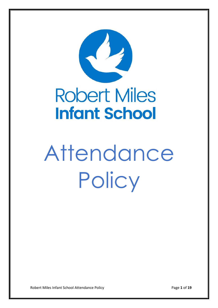

# **Robert Miles Infant School**

# Attendance **Policy**

Robert Miles Infant School Attendance Policy **Page 1** of 19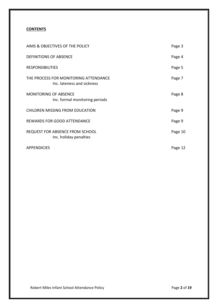# **CONTENTS**

| AIMS & OBJECTIVES OF THE POLICY                                     | Page 3  |
|---------------------------------------------------------------------|---------|
| <b>DEFINITIONS OF ABSENCE</b>                                       | Page 4  |
| <b>RESPONSIBILITIES</b>                                             | Page 5  |
| THE PROCESS FOR MONITORING ATTENDANCE<br>Inc. lateness and sickness | Page 7  |
| <b>MONITORING OF ABSENCE</b><br>Inc. formal monitoring periods      | Page 8  |
| CHILDREN MISSING FROM EDUCATION                                     | Page 9  |
| <b>REWARDS FOR GOOD ATTENDANCE</b>                                  | Page 9  |
| <b>REQUEST FOR ABSENCE FROM SCHOOL</b><br>Inc. holiday penalties    | Page 10 |
| <b>APPENDICIES</b>                                                  | Page 12 |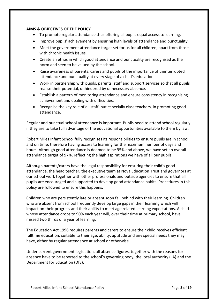#### **AIMS & OBJECTIVES OF THE POLICY**

- To promote regular attendance thus offering all pupils equal access to learning.
- Improve pupils' achievement by ensuring high levels of attendance and punctuality.
- Meet the government attendance target set for us for all children, apart from those with chronic health issues.
- Create an ethos in which good attendance and punctuality are recognised as the norm and seen to be valued by the school.
- Raise awareness of parents, carers and pupils of the importance of uninterrupted attendance and punctuality at every stage of a child's education.
- Work in partnership with pupils, parents, staff and support services so that all pupils realise their potential, unhindered by unnecessary absence.
- Establish a pattern of monitoring attendance and ensure consistency in recognising achievement and dealing with difficulties.
- Recognise the key role of all staff, but especially class teachers, in promoting good attendance.

Regular and punctual school attendance is important. Pupils need to attend school regularly if they are to take full advantage of the educational opportunities available to them by law.

Robert Miles Infant School fully recognises its responsibilities to ensure pupils are in school and on time, therefore having access to learning for the maximum number of days and hours. Although good attendance is deemed to be 95% and above, we have set an overall attendance target of 97%, reflecting the high aspirations we have of all our pupils.

Although parents/carers have the legal responsibility for ensuring their child's good attendance, the head teacher, the executive team at Nova Education Trust and governors at our school work together with other professionals and outside agencies to ensure that all pupils are encouraged and supported to develop good attendance habits. Procedures in this policy are followed to ensure this happens.

Children who are persistently late or absent soon fall behind with their learning. Children who are absent from school frequently develop large gaps in their learning which will impact on their progress and their ability to meet age related learning expectations. A child whose attendance drops to 90% each year will, over their time at primary school, have missed two thirds of a year of learning.

The Education Act 1996 requires parents and carers to ensure their child receives efficient fulltime education, suitable to their age, ability, aptitude and any special needs they may have, either by regular attendance at school or otherwise.

Under current government legislation, all absence figures, together with the reasons for absence have to be reported to the school's governing body, the local authority (LA) and the Department for Education (DfE).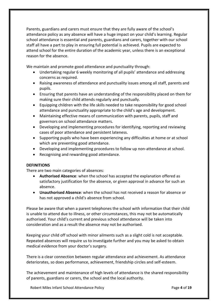Parents, guardians and carers must ensure that they are fully aware of the school's attendance policy as any absence will have a huge impact on your child's learning. Regular school attendance is essential and parents, guardians and carers, together with our school staff all have a part to play in ensuring full potential is achieved. Pupils are expected to attend school for the entire duration of the academic year, unless there is an exceptional reason for the absence.

We maintain and promote good attendance and punctuality through:

- Undertaking regular 6 weekly monitoring of all pupils' attendance and addressing concerns as required.
- Raising awareness of attendance and punctuality issues among all staff, parents and pupils.
- Ensuring that parents have an understanding of the responsibility placed on them for making sure their child attends regularly and punctually.
- Equipping children with the life skills needed to take responsibility for good school attendance and punctuality appropriate to the child's age and development.
- Maintaining effective means of communication with parents, pupils, staff and governors on school attendance matters.
- Developing and implementing procedures for identifying, reporting and reviewing cases of poor attendance and persistent lateness.
- Supporting pupils who have been experiencing any difficulties at home or at school which are preventing good attendance.
- Developing and implementing procedures to follow up non-attendance at school.
- Recognising and rewarding good attendance.

# **DEFINITIONS**

There are two main categories of absences:

- **Authorised Absence**: when the school has accepted the explanation offered as satisfactory justification for the absence, or given approval in advance for such an absence.
- **Unauthorised Absence**: when the school has not received a reason for absence or has not approved a child's absence from school.

Please be aware that when a parent telephones the school with information that their child is unable to attend due to illness, or other circumstances, this may not be automatically authorised. Your child's current and previous school attendance will be taken into consideration and as a result the absence may not be authorised.

Keeping your child off school with minor ailments such as a slight cold is not acceptable. Repeated absences will require us to investigate further and you may be asked to obtain medical evidence from your doctor's surgery.

There is a clear connection between regular attendance and achievement. As attendance deteriorates, so does performance, achievement, friendship circles and self-esteem.

The achievement and maintenance of high levels of attendance is the shared responsibility of parents, guardians or carers, the school and the local authority.

Robert Miles Infant School Attendance Policy **Page 4** of 19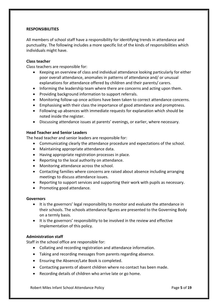# **RESPONSIBILITIES**

All members of school staff have a responsibility for identifying trends in attendance and punctuality. The following includes a more specific list of the kinds of responsibilities which individuals might have.

#### **Class teacher**

Class teachers are responsible for:

- Keeping an overview of class and individual attendance looking particularly for either poor overall attendance, anomalies in patterns of attendance and/ or unusual explanations for attendance offered by children and their parents/ carers.
- Informing the leadership team where there are concerns and acting upon them.
- Providing background information to support referrals.
- Monitoring follow-up once actions have been taken to correct attendance concerns.
- Emphasising with their class the importance of good attendance and promptness.
- Following up absences with immediate requests for explanation which should be noted inside the register.
- Discussing attendance issues at parents' evenings, or earlier, where necessary.

#### **Head Teacher and Senior Leaders**

The head teacher and senior leaders are responsible for:

- Communicating clearly the attendance procedure and expectations of the school.
- Maintaining appropriate attendance data.
- Having appropriate registration processes in place.
- Reporting to the local authority on attendance.
- Monitoring attendance across the school.
- Contacting families where concerns are raised about absence including arranging meetings to discuss attendance issues.
- Reporting to support services and supporting their work with pupils as necessary.
- Promoting good attendance.

#### **Governors**

- It is the governors' legal responsibility to monitor and evaluate the attendance in their schools. The schools attendance figures are presented to the Governing Body on a termly basis.
- It is the governors' responsibility to be involved in the review and effective implementation of this policy.

#### **Administration staff**

Staff in the school office are responsible for:

- Collating and recording registration and attendance information.
- Taking and recording messages from parents regarding absence.
- Ensuring the Absence/Late Book is completed.
- Contacting parents of absent children where no contact has been made.
- Recording details of children who arrive late or go home.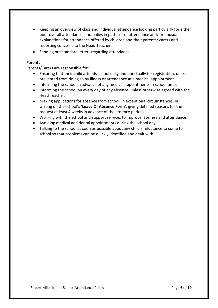- Keeping an overview of class and individual attendance looking particularly for either poor overall attendance, anomalies in patterns of attendance and/ or unusual explanations for attendance offered by children and their parents/ carers and reporting concerns to the Head Teacher.
- Sending out standard letters regarding attendance.

# **Parents**

Parents/Carers are responsible for:

- Ensuring that their child attends school daily and punctually for registration, unless prevented from doing so by illness or attendance at a medical appointment.
- Informing the school in advance of any medical appointments in school time.
- Informing the school on **every** day of any absence, unless otherwise agreed with the Head Teacher.
- Making applications for absence from school, in exceptional circumstances, in writing on the school's **'Leave Of Absence Form'**, giving detailed reasons for the request at least 4 weeks in advance of the absence period.
- Working with the school and support services to improve lateness and attendance.
- Avoiding medical and dental appointments during the school day.
- Talking to the school as soon as possible about any child's reluctance to come to school so that problems can be quickly identified and dealt with.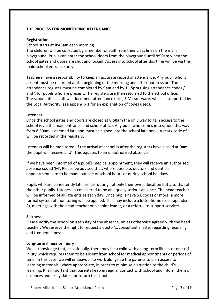# **THE PROCESS FOR MONITORING ATTENDANCE**

#### **Registration**

# School starts at **8:45am** each morning.

The children will be collected by a member of staff from their class lines on the main playground. Pupils can enter the school doors from the playground until 8:50am when the school gates and doors are shut and locked. Access into school after this time will be via the main school entrance only.

Teachers have a responsibility to keep an accurate record of attendance. Any pupil who is absent must be recorded at the beginning of the morning and afternoon session. The attendance register must be completed by **9am** and by **1:15pm** using attendance codes / and \ for pupils who are present. The registers are then returned to the school office. The school office staff will document attendance using SIMs software, which is supported by the Local Authority (see appendix 1 for an explanation of codes used).

#### **Lateness**

Once the school gates and doors are closed at **8:50am** the only way to gain access to the school is via the main entrance and school office. Any pupil who comes into school this way from 8:50am is deemed late and must be signed into the school late book. A mark code of L will be recorded in the registers.

Lateness will be monitored. If the arrival at school is after the registers have closed at **9am**, the pupil will receive a 'U'. This equates to an unauthorised absence.

If we have been informed of a pupil's medical appointment, they will receive an authorised absence coded 'M'. Please be advised that, where possible, doctors and dentists appointments are to be made outside of school hours or during school holidays.

Pupils who are consistently late are disrupting not only their own education but also that of the other pupils. Lateness is considered to be an equally serious absence. The head teacher will be informed of all late entries each day. Once pupils have 5 L codes or more, a more formal system of monitoring will be applied. This may include a letter home (see appendix 2), meetings with the head teacher or a senior leader, or a referral to support services.

#### **Sickness**

Please notify the school on **each day** of the absence, unless otherwise agreed with the head teacher. We reserve the right to request a doctor's/consultant's letter regarding recurring and frequent illness.

#### **Long-term illness or injury**

We acknowledge that, occasionally, there may be a child with a long-term illness or one-off injury which requires them to be absent from school for medical appointments or periods of time. In this case, we will endeavour to work alongside the parents to plan access to learning materials, where appropriate, in order to minimise disruption to the child's learning. It is important that parents keep in regular contact with school and inform them of absences and likely dates for return to school.

Robert Miles Infant School Attendance Policy **Page 7** of 19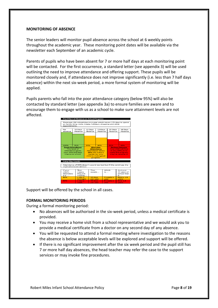# **MONITORING OF ABSENCE**

The senior leaders will monitor pupil absence across the school at 6 weekly points throughout the academic year. These monitoring point dates will be available via the newsletter each September of an academic cycle.

Parents of pupils who have been absent for 7 or more half days at each monitoring point will be contacted. For the first occurrence, a standard letter (see appendix 3) will be used outlining the need to improve attendance and offering support. These pupils will be monitored closely and, if attendance does not improve significantly (i.e. less than 7 half days absence) within the next six-week period, a more formal system of monitoring will be applied.

Pupils parents who fall into the poor attendance category (below 95%) will also be contacted by standard letter (see appendix 3a) to ensure families are aware and to encourage them to engage with us as a school to make sure attainment levels are not affected.



Support will be offered by the school in all cases.

# **FORMAL MONITORING PERIODS**

During a formal monitoring period:

- No absences will be authorised in the six-week period, unless a medical certificate is provided.
- You may receive a home visit from a school representative and we would ask you to provide a medical certificate from a doctor on any second day of any absence.
- You will be requested to attend a formal meeting where investigation to the reasons the absence is below acceptable levels will be explored and support will be offered.
- If there is no significant improvement after the six week period and the pupil still has 7 or more half day absences, the head teacher may refer the case to the support services or may invoke fine procedures.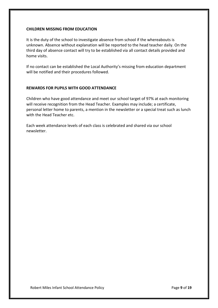# **CHILDREN MISSING FROM EDUCATION**

It is the duty of the school to investigate absence from school if the whereabouts is unknown. Absence without explanation will be reported to the head teacher daily. On the third day of absence contact will try to be established via all contact details provided and home visits.

If no contact can be established the Local Authority's missing from education department will be notified and their procedures followed.

# **REWARDS FOR PUPILS WITH GOOD ATTENDANCE**

Children who have good attendance and meet our school target of 97% at each monitoring will receive recognition from the Head Teacher. Examples may include; a certificate, personal letter home to parents, a mention in the newsletter or a special treat such as lunch with the Head Teacher etc.

Each week attendance levels of each class is celebrated and shared via our school newsletter.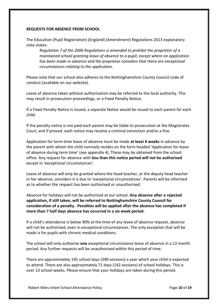# **REQUESTS FOR ABSENCE FROM SCHOOL**

The Education (Pupil Registration) (England) (Amendment) Regulations 2013 explanatory note states:

*Regulation 7 of the 2006 Regulations is amended to prohibit the proprietor of a maintained school granting leave of absence to a pupil; except where an application has been made in advance and the proprietor considers that there are exceptional circumstances relating to the application.* 

Please note that our school also adheres to the Nottinghamshire County Council code of conduct (available on our website).

Leave of absence taken without authorisation may be referred to the local authority. This may result in prosecution proceedings, or a Fixed Penalty Notice.

If a Fixed Penalty Notice is issued, a separate Notice would be issued to each parent for each child.

If the penalty notice is not paid each parent may be liable to prosecution at the Magistrates Court, and if proved, each notice may receive a criminal conviction and/or a fine.

Application for term-time leave of absence must be made **at least 4 weeks** in advance by the parent with whom the child normally resides on the form headed 'Application for leave of absence during term time' (see appendix 4). These may be obtained from the school office. Any request for absence with **less than this notice period will not be authorised** except in 'exceptional circumstances'.

Leave of absence will only be granted where the head teacher, or the deputy head teacher in her absence, considers it is due to 'exceptional circumstances'. Parents will be informed as to whether the request has been authorised or unauthorised.

Absence for holidays will not be authorised at our school. **Any absence after a rejected application, if still taken, will be referred to Nottinghamshire County Council for consideration of a penalty. Penalties will be applied after the absence has completed if more than 7 half days absence has occurred in a six week period.** 

If a child's attendance is below 90% at the time of any leave of absence request, absence will not be authorised, even in exceptional circumstances. The only exception that will be made is for pupils with chronic medical conditions.

The school will only authorise **one** exceptional circumstance leave of absence in a 12 month period. Any further requests will be unauthorised within this period of time.

There are approximately 195 school days (390 sessions) a year which your child is expected to attend. There are also approximately 71 days (142 sessions) of school holidays. This is over 13 school weeks. Please ensure that your holidays are taken during this period.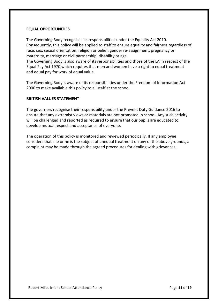#### **EQUAL OPPORTUNITIES**

The Governing Body recognises its responsibilities under the Equality Act 2010. Consequently, this policy will be applied to staff to ensure equality and fairness regardless of race, sex, sexual orientation, religion or belief, gender re-assignment, pregnancy or maternity, marriage or civil partnership, disability or age.

The Governing Body is also aware of its responsibilities and those of the LA in respect of the Equal Pay Act 1970 which requires that men and women have a right to equal treatment and equal pay for work of equal value.

The Governing Body is aware of its responsibilities under the Freedom of Information Act 2000 to make available this policy to all staff at the school.

#### **BRITISH VALUES STATEMENT**

The governors recognise their responsibility under the Prevent Duty Guidance 2016 to ensure that any extremist views or materials are not promoted in school. Any such activity will be challenged and reported as required to ensure that our pupils are educated to develop mutual respect and acceptance of everyone.

The operation of this policy is monitored and reviewed periodically. If any employee considers that she or he is the subject of unequal treatment on any of the above grounds, a complaint may be made through the agreed procedures for dealing with grievances.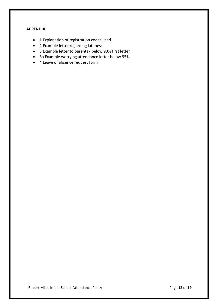# **APPENDIX**

- 1 Explanation of registration codes used
- 2 Example letter regarding lateness
- 3 Example letter to parents below 90% first letter
- 3a Example worrying attendance letter below 95%
- 4 Leave of absence request form

Robert Miles Infant School Attendance Policy **Page 12 of 19** Page 12 of 19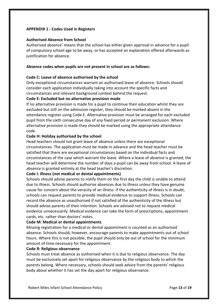# **APPENDIX 1 - Codes Used in Registers**

#### **Authorised Absence from School**

Authorised absence' means that the school has either given approval in advance for a pupil of compulsory school age to be away, or has accepted an explanation offered afterwards as justification for absence.

#### **Absence codes when pupils are not present in school are as follows:**

#### **Code C: Leave of absence authorised by the school**

Only exceptional circumstances warrant an authorised leave of absence. Schools should consider each application individually taking into account the specific facts and circumstances and relevant background context behind the request.

#### **Code E: Excluded but no alternative provision made**

If no alternative provision is made for a pupil to continue their education whilst they are excluded but still on the admission register, they should be marked absent in the attendance register using Code E. Alternative provision must be arranged for each excluded pupil from the sixth consecutive day of any fixed period or permanent exclusion. Where alternative provision is made they should be marked using the appropriate attendance code.

#### **Code H: Holiday authorised by the school**

Head teachers should not grant leave of absence unless there are exceptional circumstances. The application must be made in advance and the head teacher must be satisfied that there are exceptional circumstances based on the individual facts and circumstances of the case which warrant the leave. Where a leave of absence is granted, the head teacher will determine the number of days a pupil can be away from school. A leave of absence is granted entirely at the head teacher's discretion.

#### **Code I: Illness (not medical or dental appointments)**

Schools should advise parents to notify them on the first day the child is unable to attend due to illness. Schools should authorise absences due to illness unless they have genuine cause for concern about the veracity of an illness. If the authenticity of illness is in doubt, schools can request parents to provide medical evidence to support illness. Schools can record the absence as unauthorised if not satisfied of the authenticity of the illness but should advise parents of their intention. Schools are advised not to request medical evidence unnecessarily. Medical evidence can take the form of prescriptions, appointment cards, etc. rather than doctors' notes.

#### **Code M: Medical or dental appointments**

Missing registration for a medical or dental appointment is counted as an authorised absence. Schools should, however, encourage parents to make appointments out of school hours. Where this is not possible, the pupil should only be out of school for the minimum amount of time necessary for the appointment.

#### **Code R: Religious observance**

Schools must treat absence as authorised when it is due to religious observance. The day must be exclusively set apart for religious observance by the religious body to which the parents belong. Where necessary, schools should seek advice from the parents' religious body about whether it has set the day apart for religious observance.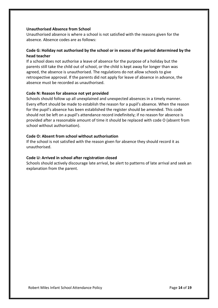#### **Unauthorised Absence from School**

Unauthorised absence is where a school is not satisfied with the reasons given for the absence. Absence codes are as follows:

# **Code G: Holiday not authorised by the school or in excess of the period determined by the head teacher**

If a school does not authorise a leave of absence for the purpose of a holiday but the parents still take the child out of school, or the child is kept away for longer than was agreed, the absence is unauthorised. The regulations do not allow schools to give retrospective approval. If the parents did not apply for leave of absence in advance, the absence must be recorded as unauthorised.

#### **Code N: Reason for absence not yet provided**

Schools should follow up all unexplained and unexpected absences in a timely manner. Every effort should be made to establish the reason for a pupil's absence. When the reason for the pupil's absence has been established the register should be amended. This code should not be left on a pupil's attendance record indefinitely; if no reason for absence is provided after a reasonable amount of time it should be replaced with code O (absent from school without authorisation).

#### **Code O: Absent from school without authorisation**

If the school is not satisfied with the reason given for absence they should record it as unauthorised.

#### **Code U: Arrived in school after registration closed**

Schools should actively discourage late arrival, be alert to patterns of late arrival and seek an explanation from the parent.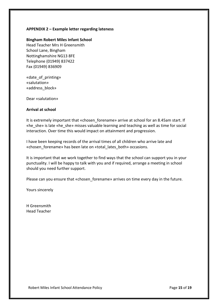# **APPENDIX 2 – Example letter regarding lateness**

#### **Bingham Robert Miles Infant School**

Head Teacher Mrs H Greensmith School Lane, Bingham Nottinghamshire NG13 8FE Telephone (01949) 837422 Fax (01949) 836909

«date\_of\_printing» «salutation» «address\_block»

Dear «salutation»

#### **Arrival at school**

It is extremely important that «chosen forename» arrive at school for an 8.45am start. If «he\_she» is late «he\_she» misses valuable learning and teaching as well as time for social interaction. Over time this would impact on attainment and progression.

I have been keeping records of the arrival times of all children who arrive late and «chosen forename» has been late on «total lates both» occasions.

It is important that we work together to find ways that the school can support you in your punctuality. I will be happy to talk with you and if required, arrange a meeting in school should you need further support.

Please can you ensure that «chosen forename» arrives on time every day in the future.

Yours sincerely

H Greensmith Head Teacher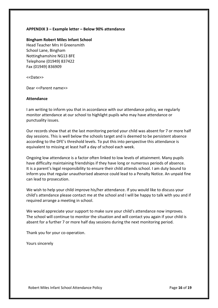# **APPENDIX 3 – Example letter – Below 90% attendance**

#### **Bingham Robert Miles Infant School**

Head Teacher Mrs H Greensmith School Lane, Bingham Nottinghamshire NG13 8FE Telephone (01949) 837422 Fax (01949) 836909

<<Date>>

Dear <<Parent name>>

#### **Attendance**

I am writing to inform you that in accordance with our attendance policy, we regularly monitor attendance at our school to highlight pupils who may have attendance or punctuality issues.

Our records show that at the last monitoring period your child was absent for 7 or more half day sessions. This is well below the schools target and is deemed to be persistent absence according to the DFE's threshold levels. To put this into perspective this attendance is equivalent to missing at least half a day of school each week.

Ongoing low attendance is a factor often linked to low levels of attainment. Many pupils have difficulty maintaining friendships if they have long or numerous periods of absence. It is a parent's legal responsibility to ensure their child attends school. I am duty bound to inform you that regular unauthorised absence could lead to a Penalty Notice. An unpaid fine can lead to prosecution.

We wish to help your child improve his/her attendance. If you would like to discuss your child's attendance please contact me at the school and I will be happy to talk with you and if required arrange a meeting in school.

We would appreciate your support to make sure your child's attendance now improves. The school will continue to monitor the situation and will contact you again if your child is absent for a further 7 or more half day sessions during the next monitoring period.

Thank you for your co-operation.

Yours sincerely

Robert Miles Infant School Attendance Policy **Page 16** of 19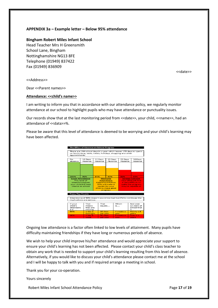#### **APPENDIX 3a – Example letter – Below 95% attendance**

#### **Bingham Robert Miles Infant School**

Head Teacher Mrs H Greensmith School Lane, Bingham Nottinghamshire NG13 8FE Telephone (01949) 837422 Fax (01949) 836909

<<date>>

<<Address>>

Dear <<Parent names>>

#### **Attendance: <<child's name>>**

I am writing to inform you that in accordance with our attendance policy, we regularly monitor attendance at our school to highlight pupils who may have attendance or punctuality issues.

Our records show that at the last monitoring period from << date>>, your child, << name>>, had an attendance of <<data>>%.

Please be aware that this level of attendance is deemed to be worrying and your child's learning may have been affected.



Ongoing low attendance is a factor often linked to low levels of attainment. Many pupils have difficulty maintaining friendships if they have long or numerous periods of absence.

We wish to help your child improve his/her attendance and would appreciate your support to ensure your child's learning has not been affected. Please contact your child's class teacher to obtain any work that is needed to support your child's learning resulting from this level of absence. Alternatively, if you would like to discuss your child's attendance please contact me at the school and I will be happy to talk with you and if required arrange a meeting in school.

Thank you for your co-operation.

Yours sincerely

Robert Miles Infant School Attendance Policy **Page 17** of 19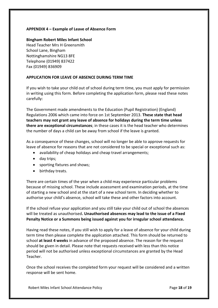# **APPENDIX 4 – Example of Leave of Absence Form**

# **Bingham Robert Miles Infant School**

Head Teacher Mrs H Greensmith School Lane, Bingham Nottinghamshire NG13 8FE Telephone (01949) 837422 Fax (01949) 836909

# **APPLICATION FOR LEAVE OF ABSENCE DURING TERM TIME**

If you wish to take your child out of school during term time, you must apply for permission in writing using this form. Before completing the application form, please read these notes carefully:

The Government made amendments to the Education (Pupil Registration) (England) Regulations 2006 which came into force on 1st September 2013. **These state that head teachers may not grant any leave of absence for holidays during the term time unless there are exceptional circumstances**; in these cases it is the head teacher who determines the number of days a child can be away from school if the leave is granted.

As a consequence of these changes, school will no longer be able to approve requests for leave of absence for reasons that are not considered to be special or exceptional such as:

- availability of cheap holidays and cheap travel arrangements;
- day trips;
- sporting fixtures and shows;
- birthday treats.

There are certain times of the year when a child may experience particular problems because of missing school. These include assessment and examination periods, at the time of starting a new school and at the start of a new school term. In deciding whether to authorise your child's absence, school will take these and other factors into account.

If the school refuse your application and you still take your child out of school the absences will be treated as unauthorised**. Unauthorised absences may lead to the issue of a Fixed Penalty Notice or a Summons being issued against you for irregular school attendance.** 

Having read these notes, if you still wish to apply for a leave of absence for your child during term time then please complete the application attached. This form should be returned to school **at least 4 weeks** in advance of the proposed absence. The reason for the request should be given in detail. Please note that requests received with less than this notice period will not be authorised unless exceptional circumstances are granted by the Head Teacher.

Once the school receives the completed form your request will be considered and a written response will be sent home.

Robert Miles Infant School Attendance Policy **Page 18** of 19